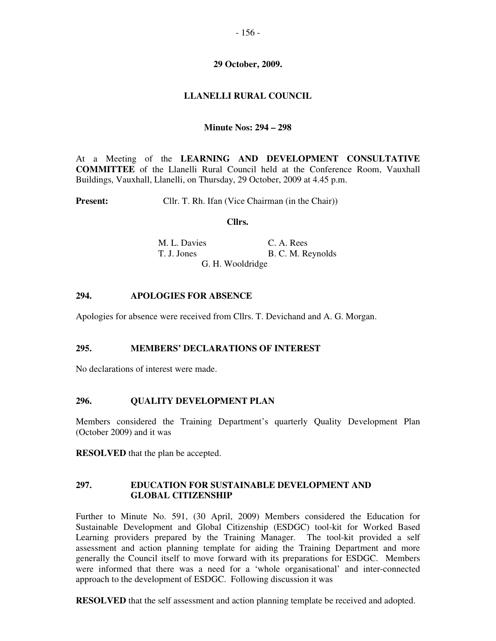## **29 October, 2009.**

# **LLANELLI RURAL COUNCIL**

## **Minute Nos: 294 – 298**

At a Meeting of the **LEARNING AND DEVELOPMENT CONSULTATIVE COMMITTEE** of the Llanelli Rural Council held at the Conference Room, Vauxhall Buildings, Vauxhall, Llanelli, on Thursday, 29 October, 2009 at 4.45 p.m.

**Present:** Cllr. T. Rh. Ifan (Vice Chairman (in the Chair))

#### **Cllrs.**

M. L. Davies C. A. Rees T. J. Jones B. C. M. Reynolds G. H. Wooldridge

## **294. APOLOGIES FOR ABSENCE**

Apologies for absence were received from Cllrs. T. Devichand and A. G. Morgan.

#### **295. MEMBERS' DECLARATIONS OF INTEREST**

No declarations of interest were made.

## **296. QUALITY DEVELOPMENT PLAN**

Members considered the Training Department's quarterly Quality Development Plan (October 2009) and it was

**RESOLVED** that the plan be accepted.

## **297. EDUCATION FOR SUSTAINABLE DEVELOPMENT AND GLOBAL CITIZENSHIP**

Further to Minute No. 591, (30 April, 2009) Members considered the Education for Sustainable Development and Global Citizenship (ESDGC) tool-kit for Worked Based Learning providers prepared by the Training Manager. The tool-kit provided a self assessment and action planning template for aiding the Training Department and more generally the Council itself to move forward with its preparations for ESDGC. Members were informed that there was a need for a 'whole organisational' and inter-connected approach to the development of ESDGC. Following discussion it was

**RESOLVED** that the self assessment and action planning template be received and adopted.